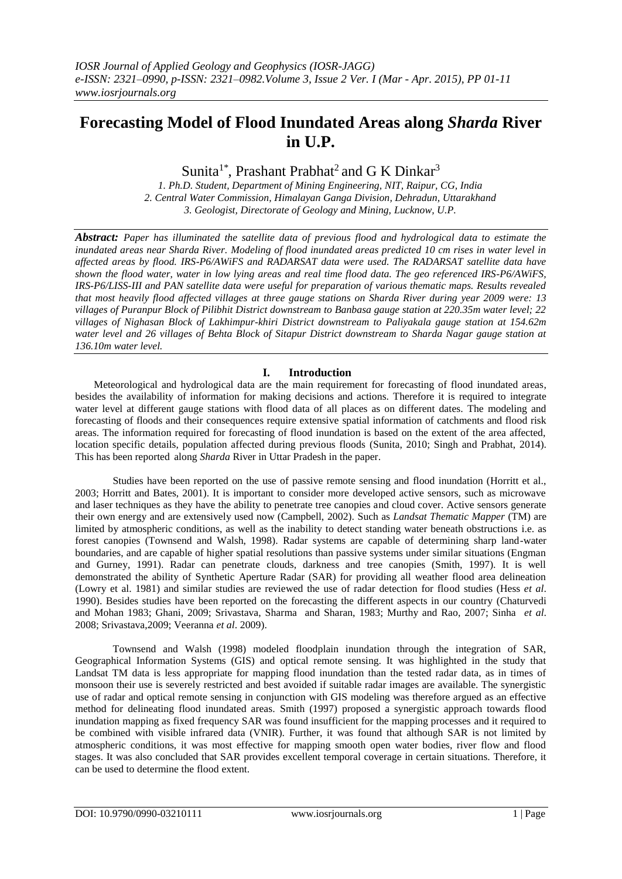# **Forecasting Model of Flood Inundated Areas along** *Sharda* **River in U.P.**

Sunita<sup>1\*</sup>, Prashant Prabhat<sup>2</sup> and G K Dinkar<sup>3</sup>

*1. Ph.D. Student, Department of Mining Engineering, NIT, Raipur, CG, India 2. Central Water Commission, Himalayan Ganga Division, Dehradun, Uttarakhand 3. Geologist, Directorate of Geology and Mining, Lucknow, U.P.*

*Abstract: Paper has illuminated the satellite data of previous flood and hydrological data to estimate the inundated areas near Sharda River. Modeling of flood inundated areas predicted 10 cm rises in water level in affected areas by flood. IRS-P6/AWiFS and RADARSAT data were used. The RADARSAT satellite data have shown the flood water, water in low lying areas and real time flood data. The geo referenced IRS-P6/AWiFS, IRS-P6/LISS-III and PAN satellite data were useful for preparation of various thematic maps. Results revealed that most heavily flood affected villages at three gauge stations on Sharda River during year 2009 were: 13 villages of Puranpur Block of Pilibhit District downstream to Banbasa gauge station at 220.35m water level; 22 villages of Nighasan Block of Lakhimpur-khiri District downstream to Paliyakala gauge station at 154.62m water level and 26 villages of Behta Block of Sitapur District downstream to Sharda Nagar gauge station at 136.10m water level.*

## **I. Introduction**

Meteorological and hydrological data are the main requirement for forecasting of flood inundated areas, besides the availability of information for making decisions and actions. Therefore it is required to integrate water level at different gauge stations with flood data of all places as on different dates. The modeling and forecasting of floods and their consequences require extensive spatial information of catchments and flood risk areas. The information required for forecasting of flood inundation is based on the extent of the area affected, location specific details, population affected during previous floods (Sunita, 2010; Singh and Prabhat, 2014). This has been reported along *Sharda* River in Uttar Pradesh in the paper.

Studies have been reported on the use of passive remote sensing and flood inundation (Horritt et al., 2003; Horritt and Bates, 2001). It is important to consider more developed active sensors, such as microwave and laser techniques as they have the ability to penetrate tree canopies and cloud cover. Active sensors generate their own energy and are extensively used now (Campbell, 2002). Such as *Landsat Thematic Mapper* (TM) are limited by atmospheric conditions, as well as the inability to detect standing water beneath obstructions i.e. as forest canopies (Townsend and Walsh, 1998). Radar systems are capable of determining sharp land-water boundaries, and are capable of higher spatial resolutions than passive systems under similar situations (Engman and Gurney, 1991). Radar can penetrate clouds, darkness and tree canopies (Smith, 1997). It is well demonstrated the ability of Synthetic Aperture Radar (SAR) for providing all weather flood area delineation (Lowry et al. 1981) and similar studies are reviewed the use of radar detection for flood studies (Hess *et al*. 1990). Besides studies have been reported on the forecasting the different aspects in our country (Chaturvedi and Mohan 1983; Ghani, 2009; Srivastava, Sharma and Sharan, 1983; Murthy and Rao, 2007; Sinha *et al*. 2008; Srivastava,2009; Veeranna *et al*. 2009).

Townsend and Walsh (1998) modeled floodplain inundation through the integration of SAR, Geographical Information Systems (GIS) and optical remote sensing. It was highlighted in the study that Landsat TM data is less appropriate for mapping flood inundation than the tested radar data, as in times of monsoon their use is severely restricted and best avoided if suitable radar images are available. The synergistic use of radar and optical remote sensing in conjunction with GIS modeling was therefore argued as an effective method for delineating flood inundated areas. Smith (1997) proposed a synergistic approach towards flood inundation mapping as fixed frequency SAR was found insufficient for the mapping processes and it required to be combined with visible infrared data (VNIR). Further, it was found that although SAR is not limited by atmospheric conditions, it was most effective for mapping smooth open water bodies, river flow and flood stages. It was also concluded that SAR provides excellent temporal coverage in certain situations. Therefore, it can be used to determine the flood extent.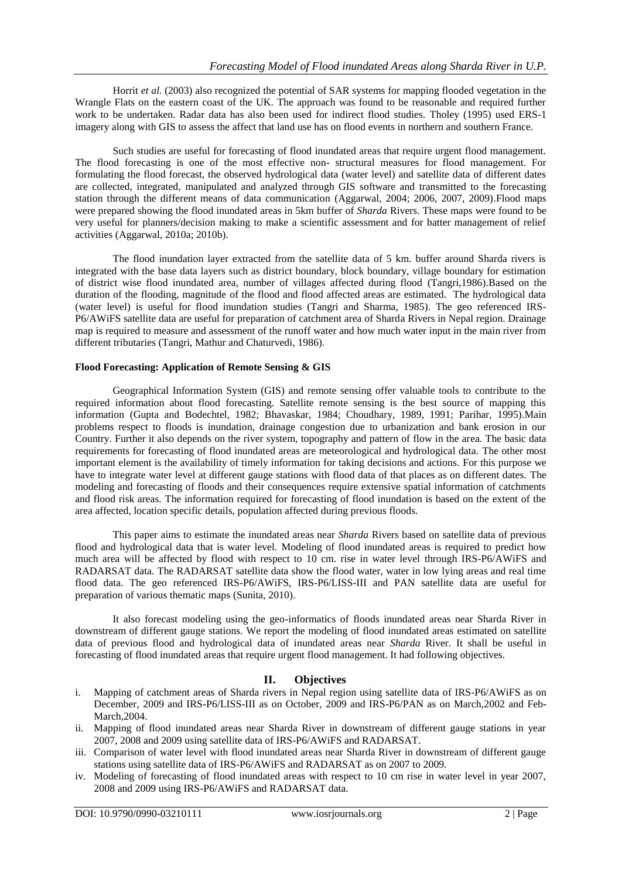Horrit *et al.* (2003) also recognized the potential of SAR systems for mapping flooded vegetation in the Wrangle Flats on the eastern coast of the UK. The approach was found to be reasonable and required further work to be undertaken. Radar data has also been used for indirect flood studies. Tholey (1995) used ERS-1 imagery along with GIS to assess the affect that land use has on flood events in northern and southern France.

Such studies are useful for forecasting of flood inundated areas that require urgent flood management. The flood forecasting is one of the most effective non- structural measures for flood management. For formulating the flood forecast, the observed hydrological data (water level) and satellite data of different dates are collected, integrated, manipulated and analyzed through GIS software and transmitted to the forecasting station through the different means of data communication (Aggarwal, 2004; 2006, 2007, 2009).Flood maps were prepared showing the flood inundated areas in 5km buffer of *Sharda* Rivers. These maps were found to be very useful for planners/decision making to make a scientific assessment and for batter management of relief activities (Aggarwal, 2010a; 2010b).

The flood inundation layer extracted from the satellite data of 5 km. buffer around Sharda rivers is integrated with the base data layers such as district boundary, block boundary, village boundary for estimation of district wise flood inundated area, number of villages affected during flood (Tangri,1986).Based on the duration of the flooding, magnitude of the flood and flood affected areas are estimated. The hydrological data (water level) is useful for flood inundation studies (Tangri and Sharma, 1985). The geo referenced IRS-P6/AWiFS satellite data are useful for preparation of catchment area of Sharda Rivers in Nepal region. Drainage map is required to measure and assessment of the runoff water and how much water input in the main river from different tributaries (Tangri, Mathur and Chaturvedi, 1986).

## **Flood Forecasting: Application of Remote Sensing & GIS**

Geographical Information System (GIS) and remote sensing offer valuable tools to contribute to the required information about flood forecasting. Satellite remote sensing is the best source of mapping this information (Gupta and Bodechtel, 1982; Bhavaskar, 1984; Choudhary, 1989, 1991; Parihar, 1995).Main problems respect to floods is inundation, drainage congestion due to urbanization and bank erosion in our Country. Further it also depends on the river system, topography and pattern of flow in the area. The basic data requirements for forecasting of flood inundated areas are meteorological and hydrological data. The other most important element is the availability of timely information for taking decisions and actions. For this purpose we have to integrate water level at different gauge stations with flood data of that places as on different dates. The modeling and forecasting of floods and their consequences require extensive spatial information of catchments and flood risk areas. The information required for forecasting of flood inundation is based on the extent of the area affected, location specific details, population affected during previous floods.

This paper aims to estimate the inundated areas near *Sharda* Rivers based on satellite data of previous flood and hydrological data that is water level. Modeling of flood inundated areas is required to predict how much area will be affected by flood with respect to 10 cm. rise in water level through IRS-P6/AWiFS and RADARSAT data. The RADARSAT satellite data show the flood water, water in low lying areas and real time flood data. The geo referenced IRS-P6/AWiFS, IRS-P6/LISS-III and PAN satellite data are useful for preparation of various thematic maps (Sunita, 2010).

It also forecast modeling using the geo-informatics of floods inundated areas near Sharda River in downstream of different gauge stations. We report the modeling of flood inundated areas estimated on satellite data of previous flood and hydrological data of inundated areas near *Sharda* River. It shall be useful in forecasting of flood inundated areas that require urgent flood management. It had following objectives.

## **II. Objectives**

- i. Mapping of catchment areas of Sharda rivers in Nepal region using satellite data of IRS-P6/AWiFS as on December, 2009 and IRS-P6/LISS-III as on October, 2009 and IRS-P6/PAN as on March,2002 and Feb-March,2004.
- ii. Mapping of flood inundated areas near Sharda River in downstream of different gauge stations in year 2007, 2008 and 2009 using satellite data of IRS-P6/AWiFS and RADARSAT.
- iii. Comparison of water level with flood inundated areas near Sharda River in downstream of different gauge stations using satellite data of IRS-P6/AWiFS and RADARSAT as on 2007 to 2009.
- iv. Modeling of forecasting of flood inundated areas with respect to 10 cm rise in water level in year 2007, 2008 and 2009 using IRS-P6/AWiFS and RADARSAT data.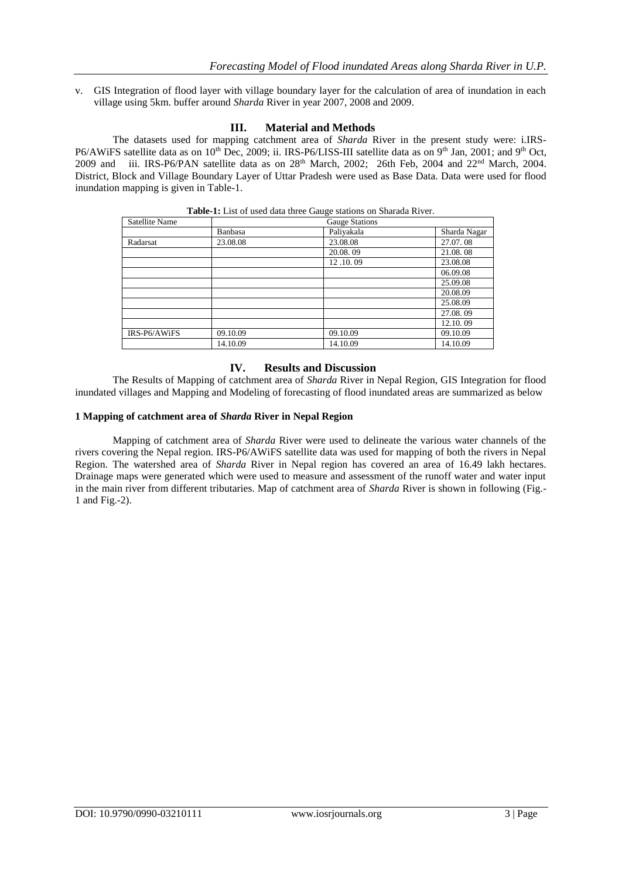v. GIS Integration of flood layer with village boundary layer for the calculation of area of inundation in each village using 5km. buffer around *Sharda* River in year 2007, 2008 and 2009.

## **III. Material and Methods**

The datasets used for mapping catchment area of *Sharda* River in the present study were: i.IRS-P6/AWiFS satellite data as on 10<sup>th</sup> Dec, 2009; ii. IRS-P6/LISS-III satellite data as on 9<sup>th</sup> Jan, 2001; and 9<sup>th</sup> Oct, 2009 and iii. IRS-P6/PAN satellite data as on 28<sup>th</sup> March, 2002; 26th Feb, 2004 and 22<sup>nd</sup> March, 2004. District, Block and Village Boundary Layer of Uttar Pradesh were used as Base Data. Data were used for flood inundation mapping is given in Table-1.

| Satellite Name |          | <b>Gauge Stations</b> |              |
|----------------|----------|-----------------------|--------------|
|                | Banbasa  | Paliyakala            | Sharda Nagar |
| Radarsat       | 23.08.08 | 23.08.08              | 27.07.08     |
|                |          | 20.08.09              | 21.08.08     |
|                |          | 12.10.09              | 23.08.08     |
|                |          |                       | 06.09.08     |
|                |          |                       | 25.09.08     |
|                |          |                       | 20.08.09     |
|                |          |                       | 25.08.09     |
|                |          |                       | 27.08.09     |
|                |          |                       | 12.10.09     |
| IRS-P6/AWiFS   | 09.10.09 | 09.10.09              | 09.10.09     |
|                | 14.10.09 | 14.10.09              | 14.10.09     |

**Table-1:** List of used data three Gauge stations on Sharada River.

## **IV. Results and Discussion**

The Results of Mapping of catchment area of *Sharda* River in Nepal Region, GIS Integration for flood inundated villages and Mapping and Modeling of forecasting of flood inundated areas are summarized as below

### **1 Mapping of catchment area of** *Sharda* **River in Nepal Region**

Mapping of catchment area of *Sharda* River were used to delineate the various water channels of the rivers covering the Nepal region. IRS-P6/AWiFS satellite data was used for mapping of both the rivers in Nepal Region. The watershed area of *Sharda* River in Nepal region has covered an area of 16.49 lakh hectares. Drainage maps were generated which were used to measure and assessment of the runoff water and water input in the main river from different tributaries. Map of catchment area of *Sharda* River is shown in following (Fig.- 1 and Fig.-2).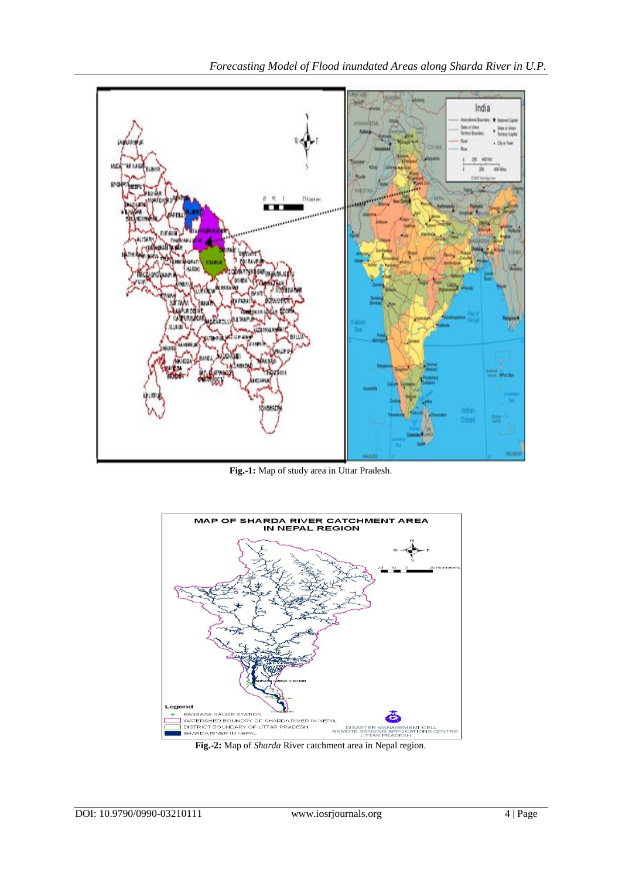

**Fig.-1:** Map of study area in Uttar Pradesh.



**Fig.-2:** Map of *Sharda* River catchment area in Nepal region.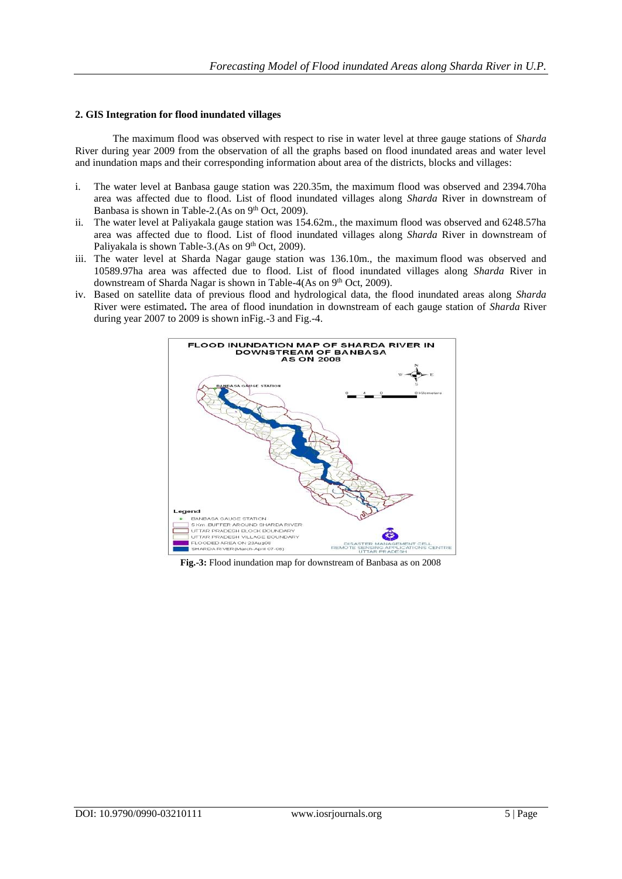## **2. GIS Integration for flood inundated villages**

The maximum flood was observed with respect to rise in water level at three gauge stations of *Sharda* River during year 2009 from the observation of all the graphs based on flood inundated areas and water level and inundation maps and their corresponding information about area of the districts, blocks and villages:

- i. The water level at Banbasa gauge station was 220.35m, the maximum flood was observed and 2394.70ha area was affected due to flood. List of flood inundated villages along *Sharda* River in downstream of Banbasa is shown in Table-2.(As on 9<sup>th</sup> Oct, 2009).
- ii. The water level at Paliyakala gauge station was 154.62m., the maximum flood was observed and 6248.57ha area was affected due to flood. List of flood inundated villages along *Sharda* River in downstream of Paliyakala is shown Table-3.(As on 9<sup>th</sup> Oct, 2009).
- iii. The water level at Sharda Nagar gauge station was 136.10m., the maximum flood was observed and 10589.97ha area was affected due to flood. List of flood inundated villages along *Sharda* River in downstream of Sharda Nagar is shown in Table-4(As on 9<sup>th</sup> Oct, 2009).
- iv. Based on satellite data of previous flood and hydrological data, the flood inundated areas along *Sharda* River were estimated**.** The area of flood inundation in downstream of each gauge station of *Sharda* River during year 2007 to 2009 is shown inFig.-3 and Fig.-4.



**Fig.-3:** Flood inundation map for downstream of Banbasa as on 2008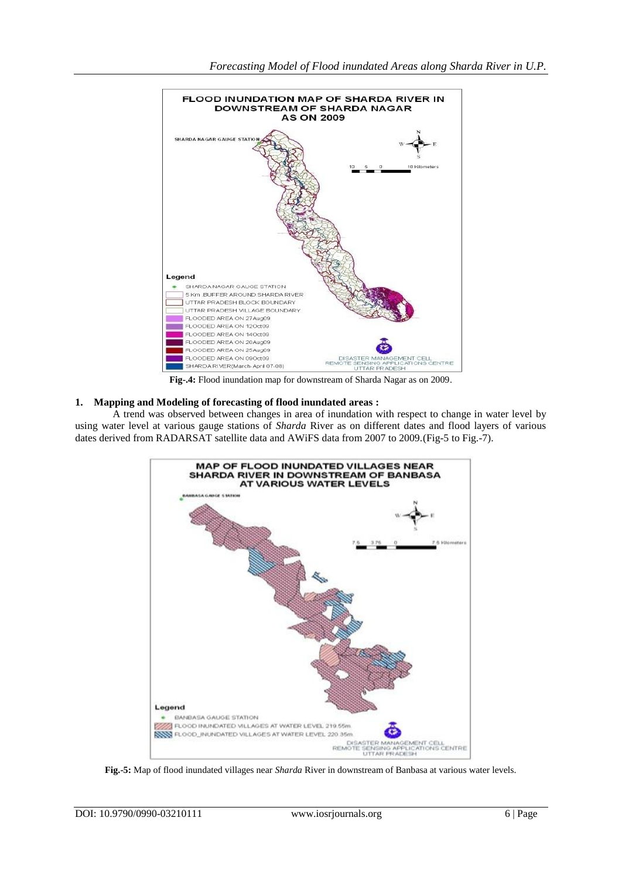

**Fig-.4:** Flood inundation map for downstream of Sharda Nagar as on 2009.

## **1. Mapping and Modeling of forecasting of flood inundated areas :**

A trend was observed between changes in area of inundation with respect to change in water level by using water level at various gauge stations of *Sharda* River as on different dates and flood layers of various dates derived from RADARSAT satellite data and AWiFS data from 2007 to 2009.(Fig-5 to Fig.-7).



**Fig.-5:** Map of flood inundated villages near *Sharda* River in downstream of Banbasa at various water levels.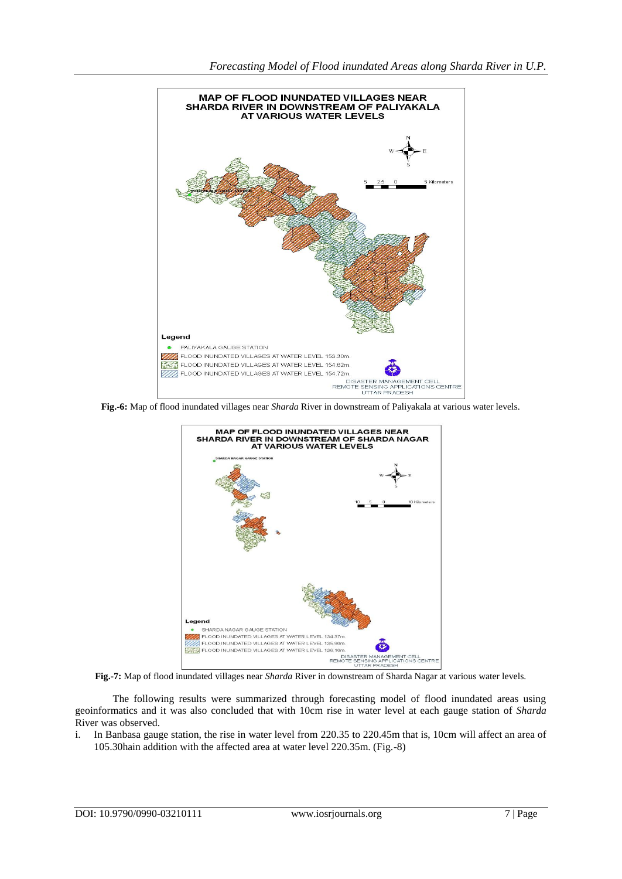

**Fig.-6:** Map of flood inundated villages near *Sharda* River in downstream of Paliyakala at various water levels.



**Fig.-7:** Map of flood inundated villages near *Sharda* River in downstream of Sharda Nagar at various water levels.

The following results were summarized through forecasting model of flood inundated areas using geoinformatics and it was also concluded that with 10cm rise in water level at each gauge station of *Sharda*  River was observed.

i. In Banbasa gauge station, the rise in water level from 220.35 to 220.45m that is, 10cm will affect an area of 105.30hain addition with the affected area at water level 220.35m. (Fig.-8)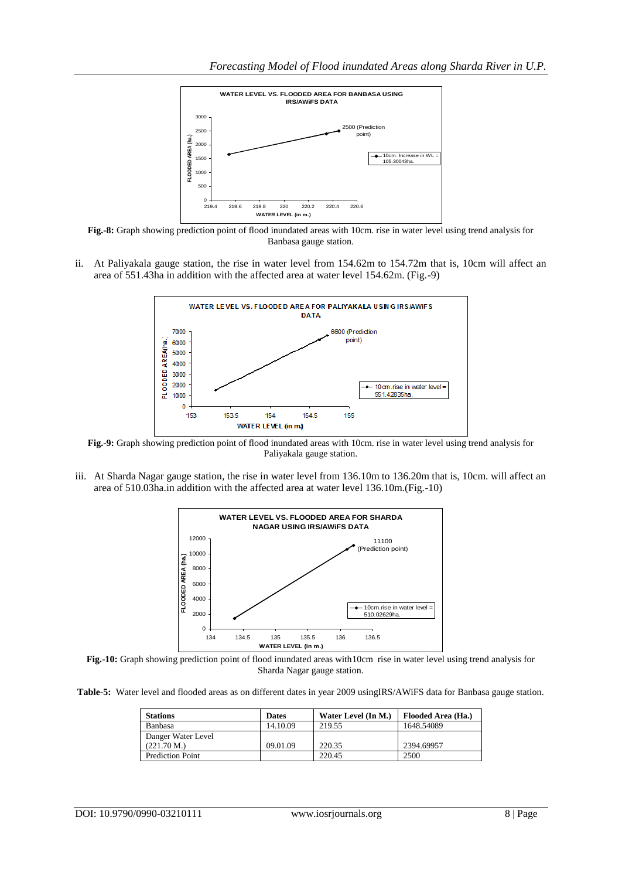

**Fig.-8:** Graph showing prediction point of flood inundated areas with 10cm. rise in water level using trend analysis for Banbasa gauge station.

ii. At Paliyakala gauge station, the rise in water level from 154.62m to 154.72m that is, 10cm will affect an area of 551.43ha in addition with the affected area at water level 154.62m. (Fig.-9)



**Fig.-9:** Graph showing prediction point of flood inundated areas with 10cm. rise in water level using trend analysis for Paliyakala gauge station.

iii. At Sharda Nagar gauge station, the rise in water level from 136.10m to 136.20m that is, 10cm. will affect an area of 510.03ha.in addition with the affected area at water level 136.10m.(Fig.-10)



**Fig.-10:** Graph showing prediction point of flood inundated areas with10cm rise in water level using trend analysis for Sharda Nagar gauge station.

**Table-5:** Water level and flooded areas as on different dates in year 2009 usingIRS/AWiFS data for Banbasa gauge station.

| <b>Stations</b>         | <b>Dates</b> | Water Level (In M.) | Flooded Area (Ha.) |
|-------------------------|--------------|---------------------|--------------------|
| <b>Banbasa</b>          | 14.10.09     | 219.55              | 1648.54089         |
| Danger Water Level      |              |                     |                    |
| (221.70 M.)             | 09.01.09     | 220.35              | 2394.69957         |
| <b>Prediction Point</b> |              | 220.45              | 2500               |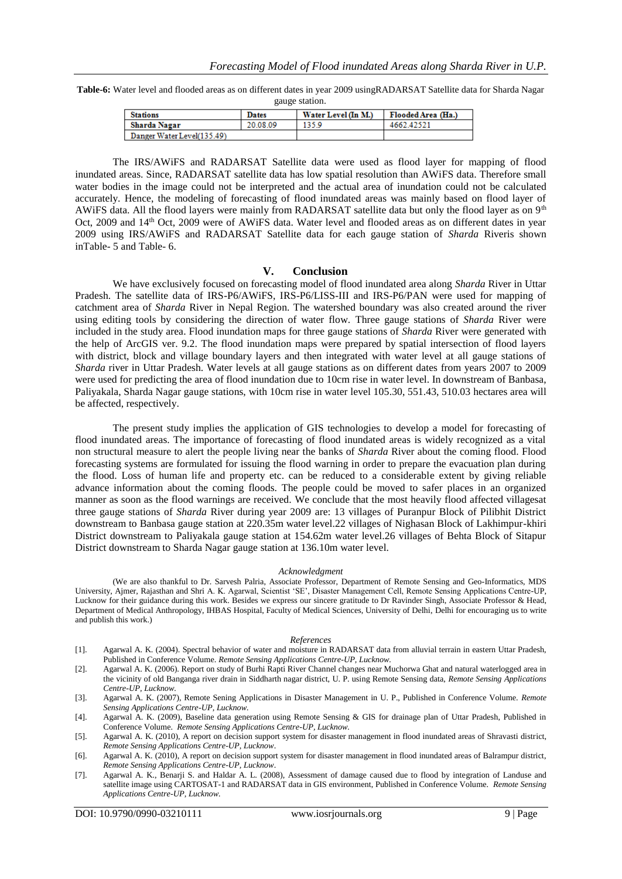**Table-6:** Water level and flooded areas as on different dates in year 2009 usingRADARSAT Satellite data for Sharda Nagar gauge station.

| <b>Stations</b>            | <b>Dates</b> | Water Level (In M.) | Flooded Area (Ha.) |
|----------------------------|--------------|---------------------|--------------------|
| Sharda Nagar               | 20.08.09     | 135.9               | 4662 42521         |
| Danger Water Level(135.49) |              |                     |                    |

The IRS/AWiFS and RADARSAT Satellite data were used as flood layer for mapping of flood inundated areas. Since, RADARSAT satellite data has low spatial resolution than AWiFS data. Therefore small water bodies in the image could not be interpreted and the actual area of inundation could not be calculated accurately. Hence, the modeling of forecasting of flood inundated areas was mainly based on flood layer of AWiFS data. All the flood layers were mainly from RADARSAT satellite data but only the flood layer as on 9<sup>th</sup> Oct, 2009 and 14<sup>th</sup> Oct, 2009 were of AWiFS data. Water level and flooded areas as on different dates in year 2009 using IRS/AWiFS and RADARSAT Satellite data for each gauge station of *Sharda* Riveris shown inTable- 5 and Table- 6.

### **V. Conclusion**

We have exclusively focused on forecasting model of flood inundated area along *Sharda* River in Uttar Pradesh. The satellite data of IRS-P6/AWiFS, IRS-P6/LISS-III and IRS-P6/PAN were used for mapping of catchment area of *Sharda* River in Nepal Region. The watershed boundary was also created around the river using editing tools by considering the direction of water flow. Three gauge stations of *Sharda* River were included in the study area. Flood inundation maps for three gauge stations of *Sharda* River were generated with the help of ArcGIS ver. 9.2. The flood inundation maps were prepared by spatial intersection of flood layers with district, block and village boundary layers and then integrated with water level at all gauge stations of *Sharda* river in Uttar Pradesh. Water levels at all gauge stations as on different dates from years 2007 to 2009 were used for predicting the area of flood inundation due to 10cm rise in water level. In downstream of Banbasa, Paliyakala, Sharda Nagar gauge stations, with 10cm rise in water level 105.30, 551.43, 510.03 hectares area will be affected, respectively.

The present study implies the application of GIS technologies to develop a model for forecasting of flood inundated areas. The importance of forecasting of flood inundated areas is widely recognized as a vital non structural measure to alert the people living near the banks of *Sharda* River about the coming flood. Flood forecasting systems are formulated for issuing the flood warning in order to prepare the evacuation plan during the flood. Loss of human life and property etc. can be reduced to a considerable extent by giving reliable advance information about the coming floods. The people could be moved to safer places in an organized manner as soon as the flood warnings are received. We conclude that the most heavily flood affected villagesat three gauge stations of *Sharda* River during year 2009 are: 13 villages of Puranpur Block of Pilibhit District downstream to Banbasa gauge station at 220.35m water level.22 villages of Nighasan Block of Lakhimpur-khiri District downstream to Paliyakala gauge station at 154.62m water level.26 villages of Behta Block of Sitapur District downstream to Sharda Nagar gauge station at 136.10m water level.

#### *Acknowledgment*

(We are also thankful to Dr. Sarvesh Palria, Associate Professor, Department of Remote Sensing and Geo-Informatics, MDS University, Ajmer, Rajasthan and Shri A. K. Agarwal, Scientist 'SE', Disaster Management Cell, Remote Sensing Applications Centre-UP, Lucknow for their guidance during this work. Besides we express our sincere gratitude to Dr Ravinder Singh, Associate Professor & Head, Department of Medical Anthropology, IHBAS Hospital, Faculty of Medical Sciences, University of Delhi, Delhi for encouraging us to write and publish this work.)

#### *References*

- [1]. Agarwal A. K. (2004). Spectral behavior of water and moisture in RADARSAT data from alluvial terrain in eastern Uttar Pradesh, Published in Conference Volume. *Remote Sensing Applications Centre-UP, Lucknow.*
- [2]. Agarwal A. K. (2006). Report on study of Burhi Rapti River Channel changes near Muchorwa Ghat and natural waterlogged area in the vicinity of old Banganga river drain in Siddharth nagar district, U. P. using Remote Sensing data, *Remote Sensing Applications Centre-UP, Lucknow.*
- [3]. Agarwal A. K. (2007), Remote Sening Applications in Disaster Management in U. P., Published in Conference Volume. *Remote Sensing Applications Centre-UP, Lucknow.*
- [4]. Agarwal A. K. (2009), Baseline data generation using Remote Sensing & GIS for drainage plan of Uttar Pradesh, Published in Conference Volume. *Remote Sensing Applications Centre-UP, Lucknow.*
- [5]. Agarwal A. K. (2010), A report on decision support system for disaster management in flood inundated areas of Shravasti district, *Remote Sensing Applications Centre-UP, Lucknow*.
- [6]. Agarwal A. K. (2010), A report on decision support system for disaster management in flood inundated areas of Balrampur district, *Remote Sensing Applications Centre-UP, Lucknow*.
- [7]. Agarwal A. K., Benarji S. and Haldar A. L. (2008), Assessment of damage caused due to flood by integration of Landuse and satellite image using CARTOSAT-1 and RADARSAT data in GIS environment, Published in Conference Volume. *Remote Sensing Applications Centre-UP, Lucknow.*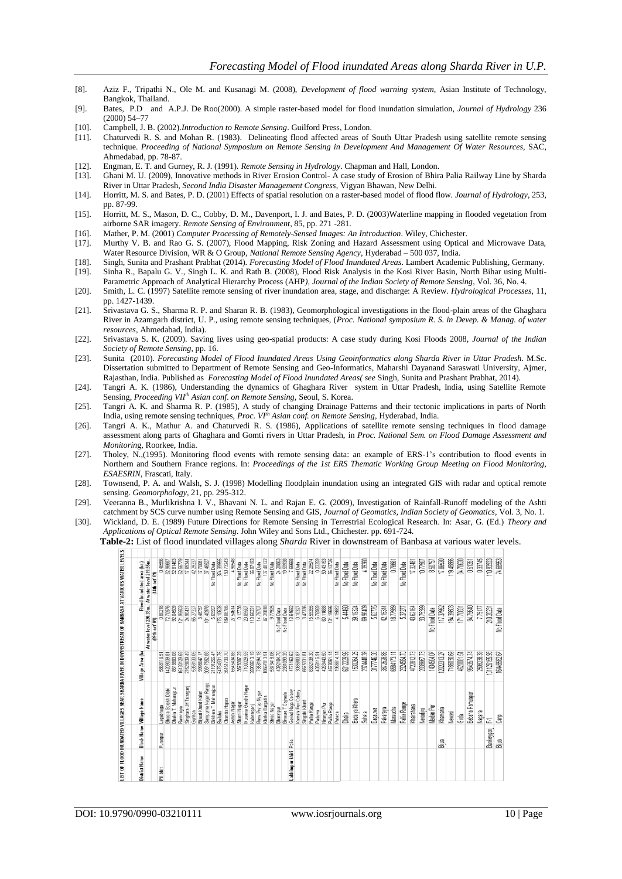- [8]. Aziz F., Tripathi N., Ole M. and Kusanagi M. (2008), *Development of flood warning system*, Asian Institute of Technology, Bangkok, Thailand.
- [9]. Bates, P.D and A.P.J. De Roo(2000). A simple raster-based model for flood inundation simulation, *Journal of Hydrology* 236 (2000) 54–77
- [10]. Campbell, J. B. (2002).*Introduction to Remote Sensing*. Guilford Press, London.
- [11]. Chaturvedi R. S. and Mohan R. (1983). Delineating flood affected areas of South Uttar Pradesh using satellite remote sensing technique. *Proceeding of National Symposium on Remote Sensing in Development And Management Of Water Resources*, SAC, Ahmedabad, pp. 78-87.
- [12]. Engman, E. T. and Gurney, R. J. (1991). *Remote Sensing in Hydrology*. Chapman and Hall, London.
- [13]. Ghani M. U. (2009), Innovative methods in River Erosion Control- A case study of Erosion of Bhira Palia Railway Line by Sharda River in Uttar Pradesh, *Second India Disaster Management Congress*, Vigyan Bhawan, New Delhi.
- [14]. Horritt, M. S. and Bates, P. D. (2001) Effects of spatial resolution on a raster-based model of flood flow. *Journal of Hydrology*, 253, pp. 87-99.
- [15]. Horritt, M. S., Mason, D. C., Cobby, D. M., Davenport, I. J. and Bates, P. D. (2003)Waterline mapping in flooded vegetation from airborne SAR imagery. *Remote Sensing of Environment*, 85, pp. 271 -281.
- [16]. Mather, P. M. (2001) *Computer Processing of Remotely-Sensed Images: An Introduction*. Wiley, Chichester.
- [17]. Murthy V. B. and Rao G. S. (2007), Flood Mapping, Risk Zoning and Hazard Assessment using Optical and Microwave Data, Water Resource Division, WR & O Group, *National Remote Sensing Agency*, Hyderabad – 500 037, India.
- [18]. Singh, Sunita and Prashant Prabhat (2014). *Forecasting Model of Flood Inundated Areas*. Lambert Academic Publishing, Germany. [19]. Sinha R., Bapalu G. V., Singh L. K. and Rath B. (2008), Flood Risk Analysis in the Kosi River Basin, North Bihar using Multi-Parametric Approach of Analytical Hierarchy Process (AHP*), Journal of the Indian Society of Remote Sensing*, Vol. 36, No. 4.
- [20]. Smith, L. C. (1997) Satellite remote sensing of river inundation area, stage, and discharge: A Review. *Hydrological Processes*, 11, pp. 1427-1439.
- [21]. Srivastava G. S., Sharma R. P. and Sharan R. B. (1983), Geomorphological investigations in the flood-plain areas of the Ghaghara River in Azamgarh district, U. P., using remote sensing techniques, (*Proc. National symposium R. S. in Devep. & Manag. of water resources*, Ahmedabad, India).
- [22]. Srivastava S. K. (2009). Saving lives using geo-spatial products: A case study during Kosi Floods 2008, *Journal of the Indian Society of Remote Sensing*, pp. 16.
- [23]. Sunita (2010). *Forecasting Model of Flood Inundated Areas Using Geoinformatics along Sharda River in Uttar Pradesh*. M.Sc. Dissertation submitted to Department of Remote Sensing and Geo-Informatics, Maharshi Dayanand Saraswati University, Ajmer, Rajasthan, India. Published as *Forecasting Model of Flood Inundated Areas( see* Singh, Sunita and Prashant Prabhat, 2014).
- [24]. Tangri A. K. (1986), Understanding the dynamics of Ghaghara River system in Uttar Pradesh, India, using Satellite Remote Sensing, *Proceeding VIIth Asian conf. on Remote Sensing,* Seoul, S. Korea.
- [25]. Tangri A. K. and Sharma R. P. (1985), A study of changing Drainage Patterns and their tectonic implications in parts of North India, using remote sensing techniques, *Proc. VIth Asian conf. on Remote Sensing*, Hyderabad, India.
- [26]. Tangri A. K., Mathur A. and Chaturvedi R. S. (1986), Applications of satellite remote sensing techniques in flood damage assessment along parts of Ghaghara and Gomti rivers in Uttar Pradesh, in *Proc. National Sem. on Flood Damage Assessment and Monitorin*g, Roorkee, India.
- [27]. Tholey, N.,(1995). Monitoring flood events with remote sensing data: an example of ERS-1's contribution to flood events in Northern and Southern France regions. In: *Proceedings of the 1st ERS Thematic Working Group Meeting on Flood Monitoring, ESAESRIN*, Frascati, Italy.
- [28]. Townsend, P. A. and Walsh, S. J. (1998) Modelling floodplain inundation using an integrated GIS with radar and optical remote sensing. *Geomorphology*, 21, pp. 295-312.
- [29]. Veeranna B., Murlikrishna I. V., Bhavani N. L. and Rajan E. G. (2009), Investigation of Rainfall-Runoff modeling of the Ashti catchment by SCS curve number using Remote Sensing and GIS, *Journal of Geomatics, Indian Society of Geomatics*, Vol. 3, No. 1.
- [30]. Wickland, D. E. (1989) Future Directions for Remote Sensing in Terrestrial Ecological Research. In: Asar, G. (Ed.) *Theory and Applications of Optical Remote Sensing*. John Wiley and Sons Ltd., Chichester. pp. 691-724.

**Table-2:** List of flood inundated villages along *Sharda* River in downstream of Banbasa at various water levels.**THE REPORT OF A 49 YEAR** 

| District Name   |            | Block Name Village Name          | Village Area (ha          |                                                 | Flood Inundated area (ha.) |
|-----------------|------------|----------------------------------|---------------------------|-------------------------------------------------|----------------------------|
|                 |            |                                  |                           | At water level 220.35m. At water level 219.55m. |                            |
|                 |            |                                  |                           | 09th oct' 09)                                   | (14th oct'09)              |
| Pilibhit        | Puranpur   | Lagabhaga                        | 유<br>5868116              | 0.80218                                         | 0.46556                    |
|                 |            | Bhoora Gorakh Dibbi              | 4209039.81                | 72.70576                                        | 82.96687                   |
|                 |            | Dhakia T. Maharajpur<br>Ramnagra | 8618803.08<br>16130129.69 | 92.04509<br>121.95503                           | 52.81463<br>62.56779       |
|                 |            | Singhara Urf Tatarganj           | 27523639.49               | 24.90431                                        | 17.65344                   |
|                 |            | Gunhan                           | 5358130.05                | 65.27227                                        | 42 29237                   |
|                 |            | Bijauri Khurd Kalan              | 9998647.17                | 3.46757                                         | 17,70081                   |
|                 |            | Sampurna Nagar Range             | 30517552.88               | 101.40978                                       | 46527<br>S.                |
|                 |            | Birkhera T. Maharajpur           | 21191256.47               | 5.69557                                         | No Flood Data              |
|                 |            | Bailaha                          | 54764331.76               | 176, 10628                                      | 374.39955                  |
|                 |            | Chandia Hajara                   | 35151730.70               | 189,08765                                       | 150.73243                  |
|                 |            | Ashok Nagar                      | 6545434.88                | 27.54614                                        | 4.98548                    |
|                 |            | Shanti Nagar                     | 3676307.29                | 0.13738                                         | No Flood Data              |
|                 |            | Murainia Gandhi Nagar            | 7188329.59                | 23.89587                                        | No Flood Data              |
|                 |            | Kabeerganj                       | 25908613.19               | 113,66231                                       | 66.07193                   |
|                 |            | Rana Pratap Nagar                | 7358194.18                | 14,79707                                        | No Flood Data              |
|                 |            | Khirkia Bargadia                 | 18667813.51               | 47,25818                                        | 107.48122                  |
|                 |            | Shree Nagar<br>Bharatpur         | 5373418.06<br>4392104.70  | 9.77925<br>No Flood Data                        | 24,29963<br>No Flood Data  |
|                 |            | Binaura T. Gairaula              | 2381099.39                | No Flood Data                                   | 19,59938                   |
| Lakhimpur-khiri | Palia      | Govind Naga Colony               | 4771163.62                | 13.64592                                        | 7.55668                    |
|                 |            | Kamala Puri Colony               | 3085903.87                | 0.10327                                         | No Flood Data              |
|                 |            | Singahi Khurd                    | 6675331.81                | 3.47336                                         | No Flood Data              |
|                 |            | Pallia Range                     | 6332139.30                | 15.59355                                        | 22.29574                   |
|                 |            | Paduwa                           | 4358116.91                | 6.76969                                         | 0.23259                    |
|                 |            | Niranjan Pur                     | 4263440.50                | 69,11668                                        | 50,43153                   |
|                 |            | Pallia Range                     | 4578061.14                | 131,19696                                       | 56.13725<br>No Flood Data  |
|                 |            | Pateda                           | 1966614.14                | 4.15682                                         |                            |
|                 |            | Dhaka                            | 6012229.98                | 5.44450                                         | No Flood Data              |
|                 |            | Badaiya Khera                    | 1500264.25                | 39,19324                                        | No Flood Data              |
|                 |            | Suhela                           | 2374448.39                | 89.96409                                        | 4,3960                     |
|                 |            | Bagauwa                          | 3177746.38                | 5,63775                                         | No Flood Data              |
|                 |            | Pakareya                         | 3872528.66                | 42.15344                                        | No Flood Data              |
|                 |            | Maraucha                         | 664173.11                 | 18.77989                                        | 0.7661                     |
|                 |            | Pallia Range                     | 2324584.70                | 5.37277                                         | No Flood Data              |
|                 |            | Khairahana                       | 4722812.73                | 43,62164                                        | 17.32481                   |
|                 |            | Nevadiya                         | 203867.73                 | 33,75399                                        | 10.77907                   |
|                 |            | Madan Pur                        | 1434504.07                | No Flood Data                                   | 8.50757                    |
|                 | å          | Khamaria                         | 12022313.27               | 117.37952                                       | 17.86530                   |
|                 |            | Newasi                           | 7186030.69                | 194.39603                                       | 119.48866                  |
|                 |            | Girda                            | 4620081.51                | 171,70831                                       | 84,78630                   |
|                 |            | Bebaha Ramuapur                  | 9643574.74                | 94.75640                                        | 051351                     |
|                 |            | Nagaria                          | 2508238.39                | 7.75177                                         | 0.3745                     |
|                 | Bankeygany | 군                                | 01126155.93               | 210,20231                                       | 110.9393                   |
|                 |            |                                  | 16448582.67               |                                                 |                            |

DOI: 10.9790/0990-03210111 www.iosrjournals.org 10 | Page